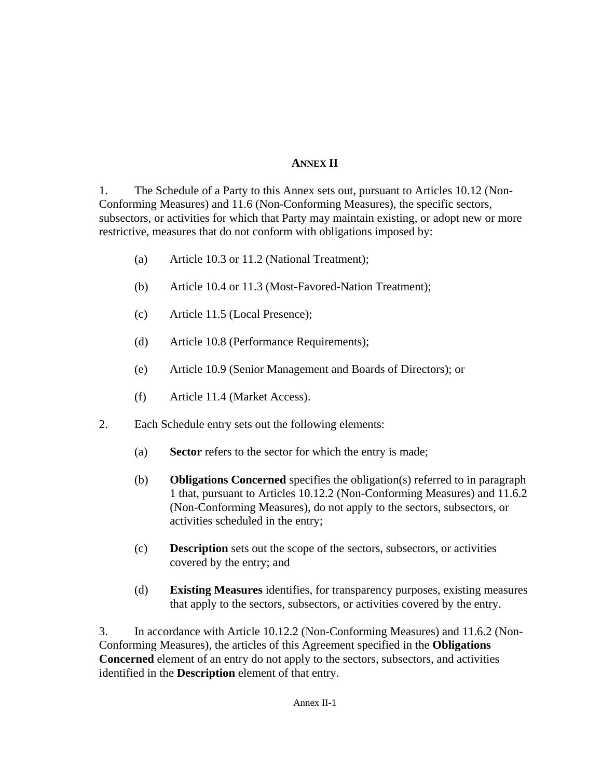## **ANNEX II**

1. The Schedule of a Party to this Annex sets out, pursuant to Articles 10.12 (Non-Conforming Measures) and 11.6 (Non-Conforming Measures), the specific sectors, subsectors, or activities for which that Party may maintain existing, or adopt new or more restrictive, measures that do not conform with obligations imposed by:

- (a) Article 10.3 or 11.2 (National Treatment);
- (b) Article 10.4 or 11.3 (Most-Favored-Nation Treatment);
- (c) Article 11.5 (Local Presence);
- (d) Article 10.8 (Performance Requirements);
- (e) Article 10.9 (Senior Management and Boards of Directors); or
- (f) Article 11.4 (Market Access).
- 2. Each Schedule entry sets out the following elements:
	- (a) **Sector** refers to the sector for which the entry is made;
	- (b) **Obligations Concerned** specifies the obligation(s) referred to in paragraph 1 that, pursuant to Articles 10.12.2 (Non-Conforming Measures) and 11.6.2 (Non-Conforming Measures), do not apply to the sectors, subsectors, or activities scheduled in the entry;
	- (c) **Description** sets out the scope of the sectors, subsectors, or activities covered by the entry; and
	- (d) **Existing Measures** identifies, for transparency purposes, existing measures that apply to the sectors, subsectors, or activities covered by the entry.

3. In accordance with Article 10.12.2 (Non-Conforming Measures) and 11.6.2 (Non-Conforming Measures), the articles of this Agreement specified in the **Obligations Concerned** element of an entry do not apply to the sectors, subsectors, and activities identified in the **Description** element of that entry.